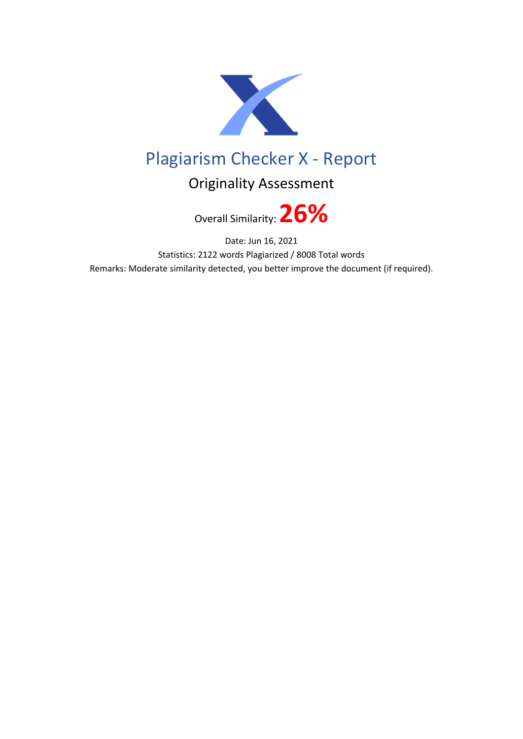

## Plagiarism Checker X - Report

## Originality Assessment

Overall Similarity:**26%**

Date: Jun 16, 2021 Statistics: 2122 words Plagiarized / 8008 Total words Remarks: Moderate similarity detected, you better improve the document (if required).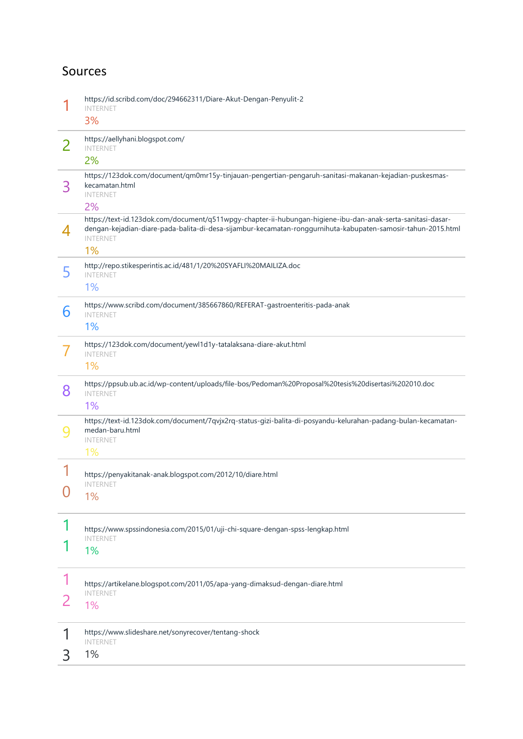## Sources

|                | https://id.scribd.com/doc/294662311/Diare-Akut-Dengan-Penyulit-2<br><b>INTERNET</b><br>3%                                                                                                                                                            |
|----------------|------------------------------------------------------------------------------------------------------------------------------------------------------------------------------------------------------------------------------------------------------|
| $\overline{2}$ | https://aellyhani.blogspot.com/<br><b>INTERNET</b><br>2%                                                                                                                                                                                             |
| 3              | https://123dok.com/document/qm0mr15y-tinjauan-pengertian-pengaruh-sanitasi-makanan-kejadian-puskesmas-<br>kecamatan.html<br><b>INTERNET</b><br>2%                                                                                                    |
| 4              | https://text-id.123dok.com/document/q511wpgy-chapter-ii-hubungan-higiene-ibu-dan-anak-serta-sanitasi-dasar-<br>dengan-kejadian-diare-pada-balita-di-desa-sijambur-kecamatan-ronggurnihuta-kabupaten-samosir-tahun-2015.html<br><b>INTERNET</b><br>1% |
| 5              | http://repo.stikesperintis.ac.id/481/1/20%20SYAFLI%20MAILIZA.doc<br><b>INTERNET</b><br>1%                                                                                                                                                            |
| 6              | https://www.scribd.com/document/385667860/REFERAT-gastroenteritis-pada-anak<br><b>INTERNET</b><br>1%                                                                                                                                                 |
|                | https://123dok.com/document/yewl1d1y-tatalaksana-diare-akut.html<br><b>INTERNET</b><br>1%                                                                                                                                                            |
| 8              | https://ppsub.ub.ac.id/wp-content/uploads/file-bos/Pedoman%20Proposal%20tesis%20disertasi%202010.doc<br><b>INTERNET</b><br>1%                                                                                                                        |
| 9              | https://text-id.123dok.com/document/7qvjx2rq-status-gizi-balita-di-posyandu-kelurahan-padang-bulan-kecamatan-<br>medan-baru.html<br><b>INTERNET</b><br>1%                                                                                            |
|                | https://penyakitanak-anak.blogspot.com/2012/10/diare.html<br><b>INTERNET</b><br>1%                                                                                                                                                                   |
|                | https://www.spssindonesia.com/2015/01/uji-chi-square-dengan-spss-lengkap.html<br><b>INTERNET</b><br>1%                                                                                                                                               |
|                | https://artikelane.blogspot.com/2011/05/apa-yang-dimaksud-dengan-diare.html<br><b>INTERNET</b><br>1%                                                                                                                                                 |
| 3              | https://www.slideshare.net/sonyrecover/tentang-shock<br><b>INTERNET</b><br>1%                                                                                                                                                                        |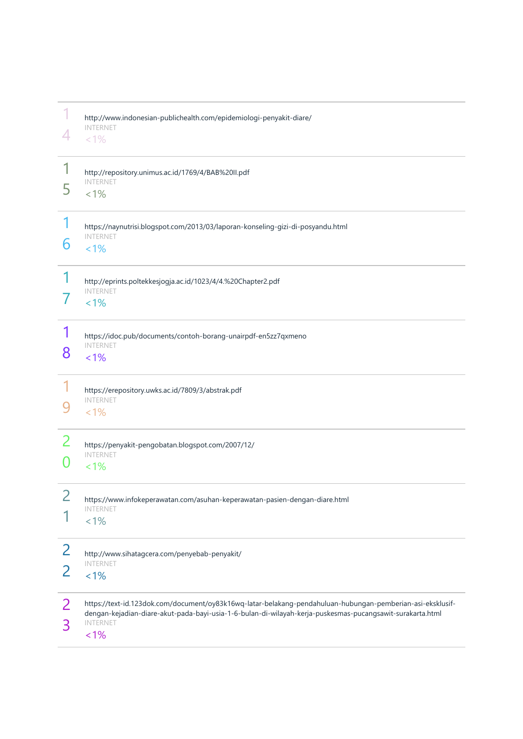|        | http://www.indonesian-publichealth.com/epidemiologi-penyakit-diare/<br><b>INTERNET</b><br>$< 1\%$                                                                                                                                                     |
|--------|-------------------------------------------------------------------------------------------------------------------------------------------------------------------------------------------------------------------------------------------------------|
| 5      | http://repository.unimus.ac.id/1769/4/BAB%20II.pdf<br><b>INTERNET</b><br>$< 1\%$                                                                                                                                                                      |
| 6      | https://naynutrisi.blogspot.com/2013/03/laporan-konseling-gizi-di-posyandu.html<br><b>INTERNET</b><br>$< 1\%$                                                                                                                                         |
|        | http://eprints.poltekkesjogja.ac.id/1023/4/4.%20Chapter2.pdf<br><b>INTERNET</b><br>$< 1\%$                                                                                                                                                            |
| 8      | https://idoc.pub/documents/contoh-borang-unairpdf-en5zz7qxmeno<br><b>INTERNET</b><br>$< 1\%$                                                                                                                                                          |
|        | https://erepository.uwks.ac.id/7809/3/abstrak.pdf<br><b>INTERNET</b><br>$< 1\%$                                                                                                                                                                       |
| 2      | https://penyakit-pengobatan.blogspot.com/2007/12/<br><b>INTERNET</b><br>$< 1\%$                                                                                                                                                                       |
|        | https://www.infokeperawatan.com/asuhan-keperawatan-pasien-dengan-diare.html<br><b>INTERNET</b><br>$< 1\%$                                                                                                                                             |
| 2<br>2 | http://www.sihatagcera.com/penyebab-penyakit/<br><b>INTERNET</b><br>$< 1\%$                                                                                                                                                                           |
| 2<br>3 | https://text-id.123dok.com/document/oy83k16wq-latar-belakang-pendahuluan-hubungan-pemberian-asi-eksklusif-<br>dengan-kejadian-diare-akut-pada-bayi-usia-1-6-bulan-di-wilayah-kerja-puskesmas-pucangsawit-surakarta.html<br><b>INTERNET</b><br>$< 1\%$ |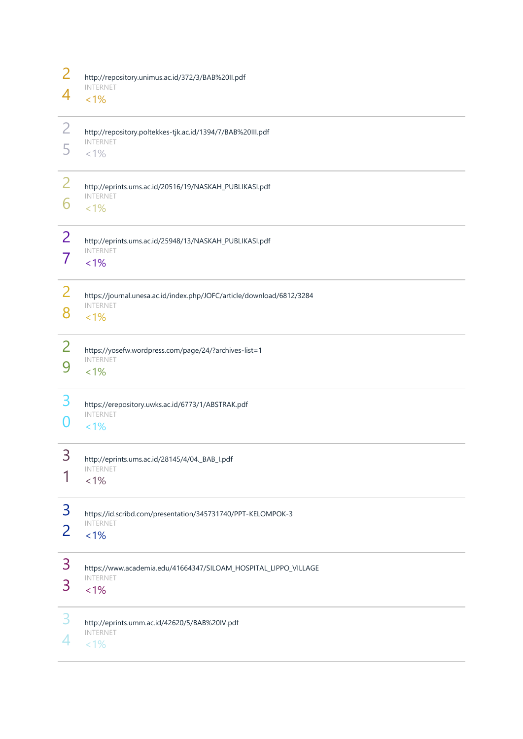| $\overline{2}$ | http://repository.unimus.ac.id/372/3/BAB%20II.pdf                     |
|----------------|-----------------------------------------------------------------------|
| 4              | <b>INTERNET</b><br>$< 1\%$                                            |
| $\overline{2}$ | http://repository.poltekkes-tjk.ac.id/1394/7/BAB%20III.pdf            |
| 5              | <b>INTERNET</b><br>$< 1\%$                                            |
| $\overline{2}$ | http://eprints.ums.ac.id/20516/19/NASKAH_PUBLIKASI.pdf                |
| 6              | <b>INTERNET</b><br>$< 1\%$                                            |
| $\overline{2}$ | http://eprints.ums.ac.id/25948/13/NASKAH_PUBLIKASI.pdf                |
| $\overline{7}$ | <b>INTERNET</b><br>$< 1\%$                                            |
| 2              | https://journal.unesa.ac.id/index.php/JOFC/article/download/6812/3284 |
| 8              | <b>INTERNET</b><br>$< 1\%$                                            |
| 2              | https://yosefw.wordpress.com/page/24/?archives-list=1                 |
| 9              | <b>INTERNET</b><br>$< 1\%$                                            |
| 3              | https://erepository.uwks.ac.id/6773/1/ABSTRAK.pdf                     |
| 0              | <b>INTERNET</b><br>$< 1\%$                                            |
| 3              | http://eprints.ums.ac.id/28145/4/04._BAB_I.pdf                        |
| 1              | <b>INTERNET</b><br>$< 1\%$                                            |
| 3              | https://id.scribd.com/presentation/345731740/PPT-KELOMPOK-3           |
| $\overline{2}$ | <b>INTERNET</b><br>$< 1\%$                                            |
| 3              | https://www.academia.edu/41664347/SILOAM_HOSPITAL_LIPPO_VILLAGE       |
| 3              | <b>INTERNET</b><br>$< 1\%$                                            |
| 3              | http://eprints.umm.ac.id/42620/5/BAB%20IV.pdf                         |
| 4              | <b>INTERNET</b><br>$< 1\%$                                            |
|                |                                                                       |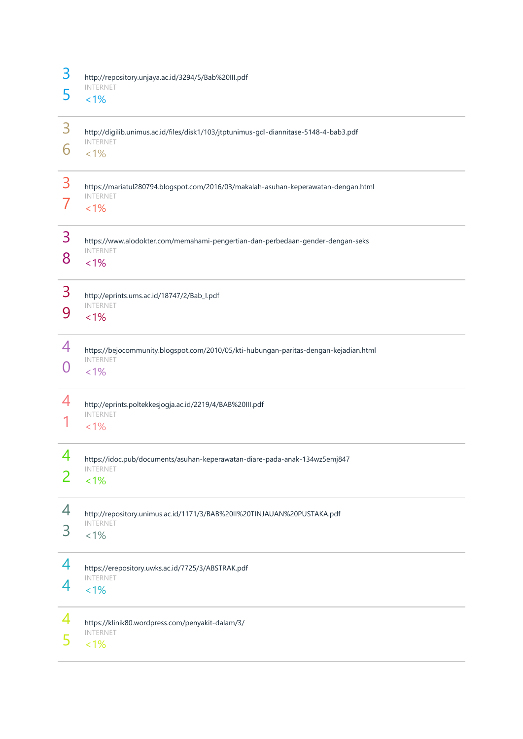| 3<br>5 | http://repository.unjaya.ac.id/3294/5/Bab%20III.pdf<br><b>INTERNET</b><br>$< 1\%$                                   |
|--------|---------------------------------------------------------------------------------------------------------------------|
| 3<br>6 | http://digilib.unimus.ac.id/files/disk1/103/jtptunimus-gdl-diannitase-5148-4-bab3.pdf<br><b>INTERNET</b><br>$< 1\%$ |
| 3      | https://mariatul280794.blogspot.com/2016/03/makalah-asuhan-keperawatan-dengan.html<br><b>INTERNET</b><br>1%         |
| 3<br>8 | https://www.alodokter.com/memahami-pengertian-dan-perbedaan-gender-dengan-seks<br><b>INTERNET</b><br>$< 1\%$        |
| 3<br>9 | http://eprints.ums.ac.id/18747/2/Bab_I.pdf<br><b>INTERNET</b><br>$< 1\%$                                            |
| 4      | https://bejocommunity.blogspot.com/2010/05/kti-hubungan-paritas-dengan-kejadian.html<br><b>INTERNET</b><br>$1\%$    |
| 4      | http://eprints.poltekkesjogja.ac.id/2219/4/BAB%20III.pdf<br><b>INTERNET</b><br>$< 1\%$                              |
| 4<br>2 | https://idoc.pub/documents/asuhan-keperawatan-diare-pada-anak-134wz5emj847<br><b>INTERNET</b><br>1%                 |
| 4<br>3 | http://repository.unimus.ac.id/1171/3/BAB%20II%20TINJAUAN%20PUSTAKA.pdf<br><b>INTERNET</b><br>$< 1\%$               |
| 4<br>4 | https://erepository.uwks.ac.id/7725/3/ABSTRAK.pdf<br><b>INTERNET</b><br>$< 1\%$                                     |
| 4      | https://klinik80.wordpress.com/penyakit-dalam/3/<br><b>INTERNET</b><br>$< 1\%$                                      |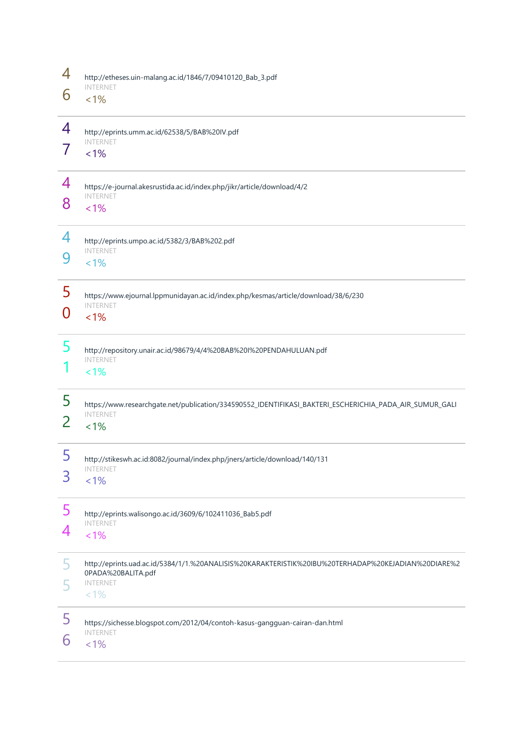| 4      | http://etheses.uin-malang.ac.id/1846/7/09410120_Bab_3.pdf                                                                                               |
|--------|---------------------------------------------------------------------------------------------------------------------------------------------------------|
| 6      | <b>INTERNET</b><br>$< 1\%$                                                                                                                              |
| 4      | http://eprints.umm.ac.id/62538/5/BAB%20IV.pdf<br><b>INTERNET</b><br>1%                                                                                  |
| 4<br>8 | https://e-journal.akesrustida.ac.id/index.php/jikr/article/download/4/2<br><b>INTERNET</b><br>$< 1\%$                                                   |
| 4<br>9 | http://eprints.umpo.ac.id/5382/3/BAB%202.pdf<br><b>INTERNET</b><br>$< 1\%$                                                                              |
| 5<br>O | https://www.ejournal.lppmunidayan.ac.id/index.php/kesmas/article/download/38/6/230<br><b>INTERNET</b><br>$< 1\%$                                        |
| 5      | http://repository.unair.ac.id/98679/4/4%20BAB%20I%20PENDAHULUAN.pdf<br><b>INTERNET</b><br>$< 1\%$                                                       |
| 5<br>2 | https://www.researchgate.net/publication/334590552_IDENTIFIKASI_BAKTERI_ESCHERICHIA_PADA_AIR_SUMUR_GALI<br><b>INTERNET</b><br>$< 1\%$                   |
| 5<br>3 | http://stikeswh.ac.id:8082/journal/index.php/jners/article/download/140/131<br><b>INTERNET</b><br>$1\%$                                                 |
| 5<br>4 | http://eprints.walisongo.ac.id/3609/6/102411036_Bab5.pdf<br><b>INTERNET</b><br>$< 1\%$                                                                  |
| 5      | http://eprints.uad.ac.id/5384/1/1.%20ANALISIS%20KARAKTERISTIK%20IBU%20TERHADAP%20KEJADIAN%20DIARE%2<br>0PADA%20BALITA.pdf<br><b>INTERNET</b><br>$< 1\%$ |
| 5<br>6 | https://sichesse.blogspot.com/2012/04/contoh-kasus-gangguan-cairan-dan.html<br><b>INTERNET</b><br>$< 1\%$                                               |